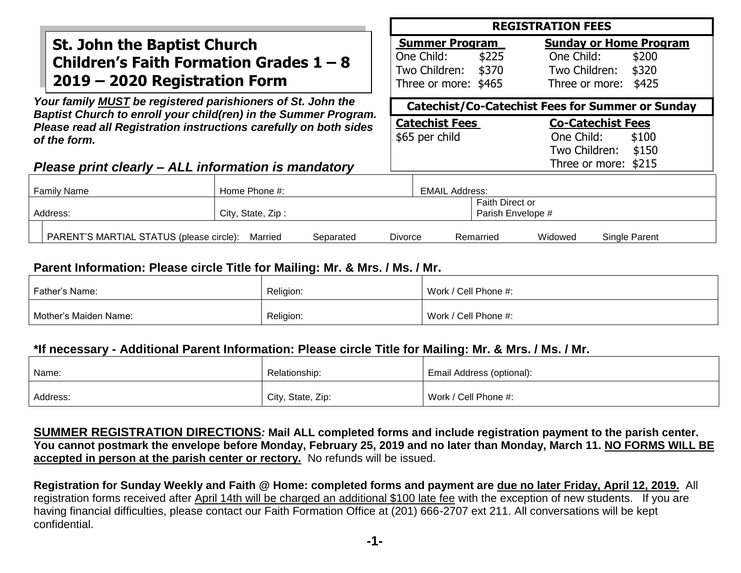## **St. John the Baptist Church Children's Faith Formation Grades 1 – 8 2019 – 2020 Registration Form**

*Your family MUST be registered parishioners of St. John the Baptist Church to enroll your child(ren) in the Summer Program. Please read all Registration instructions carefully on both sides of the form.*

### *Please print clearly – ALL information is mandatory*

### **REGISTRATION FEES**

| <b>Summer Program</b> |       | <b>Sunday or Home Program</b> |  |
|-----------------------|-------|-------------------------------|--|
| One Child:            | \$225 | One Child: \$200              |  |
| Two Children: \$370   |       | Two Children: \$320           |  |
| Three or more: \$465  |       | Three or more: \$425          |  |

**Catechist/Co-Catechist Fees for Summer or Sunday**

One Child: \$100 Two Children: \$150 Three or more: \$215

| <b>Catechist Fees</b> | <b>Co-Catechist Fees</b> |       |
|-----------------------|--------------------------|-------|
| \$65 per child        | One Child:               | \$100 |
|                       | Two Children:            | \$15  |
|                       | Throe or more: $\pm$ 21  |       |

| <b>Family Name</b>                       | Home Phone #:     |                             | <b>EMAIL Address:</b> |                                             |         |               |
|------------------------------------------|-------------------|-----------------------------|-----------------------|---------------------------------------------|---------|---------------|
| Address:                                 | City, State, Zip: |                             |                       | <b>Faith Direct or</b><br>Parish Envelope # |         |               |
| PARENT'S MARTIAL STATUS (please circle): | Married           | <b>Divorce</b><br>Separated |                       | Remarried                                   | Widowed | Single Parent |

### **Parent Information: Please circle Title for Mailing: Mr. & Mrs. / Ms. / Mr.**

| Father's Name:        | Religion: | Work / Cell Phone #: |
|-----------------------|-----------|----------------------|
| Mother's Maiden Name: | Religion: | Work / Cell Phone #: |

### **\*If necessary - Additional Parent Information: Please circle Title for Mailing: Mr. & Mrs. / Ms. / Mr.**

| Name:    | Relationship:     | Email Address (optional): |
|----------|-------------------|---------------------------|
| Address: | City, State, Zip: | Work / Cell Phone #:      |

**SUMMER REGISTRATION DIRECTIONS***:* **Mail ALL completed forms and include registration payment to the parish center. You cannot postmark the envelope before Monday, February 25, 2019 and no later than Monday, March 11. NO FORMS WILL BE accepted in person at the parish center or rectory.** No refunds will be issued.

**Registration for Sunday Weekly and Faith @ Home: completed forms and payment are due no later Friday, April 12, 2019.** All registration forms received after April 14th will be charged an additional \$100 late fee with the exception of new students. If you are having financial difficulties, please contact our Faith Formation Office at (201) 666-2707 ext 211. All conversations will be kept confidential.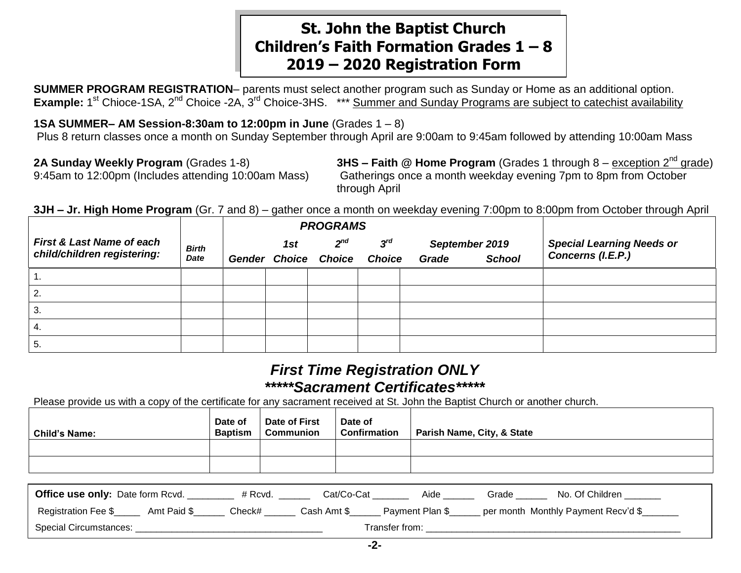## **St. John the Baptist Church Children's Faith Formation Grades 1 – 8 2019 – 2020 Registration Form**

**SUMMER PROGRAM REGISTRATION**– parents must select another program such as Sunday or Home as an additional option. Example: 1<sup>st</sup> Chioce-1SA, 2<sup>nd</sup> Choice -2A, 3<sup>rd</sup> Choice-3HS. \*\*\* Summer and Sunday Programs are subject to catechist availability

**1SA SUMMER– AM Session-8:30am to 12:00pm in June** (Grades 1 – 8)

Plus 8 return classes once a month on Sunday September through April are 9:00am to 9:45am followed by attending 10:00am Mass

**2A Sunday Weekly Program** (Grades 1-8) **3HS – Faith @ Home Program** (Grades 1 through 8 – exception 2nd grade) 9:45am to 12:00pm (Includes attending 10:00am Mass) Gatherings once a month weekday evening 7pm to 8pm from October through April

**3JH – Jr. High Home Program** (Gr. 7 and 8) – gather once a month on weekday evening 7:00pm to 8:00pm from October through April

|                                                                     |                             |     | <b>PROGRAMS</b>                         |                           |                         |               |                                                       |
|---------------------------------------------------------------------|-----------------------------|-----|-----------------------------------------|---------------------------|-------------------------|---------------|-------------------------------------------------------|
| <b>First &amp; Last Name of each</b><br>child/children registering: | <b>Birth</b><br><b>Date</b> | 1st | $2^{nd}$<br><b>Gender Choice Choice</b> | $3^{rd}$<br><b>Choice</b> | September 2019<br>Grade | <b>School</b> | <b>Special Learning Needs or</b><br>Concerns (I.E.P.) |
|                                                                     |                             |     |                                         |                           |                         |               |                                                       |
| 2.                                                                  |                             |     |                                         |                           |                         |               |                                                       |
| 3.                                                                  |                             |     |                                         |                           |                         |               |                                                       |
| 4.                                                                  |                             |     |                                         |                           |                         |               |                                                       |
| 5.                                                                  |                             |     |                                         |                           |                         |               |                                                       |

## *First Time Registration ONLY \*\*\*\*\*Sacrament Certificates\*\*\*\*\**

Please provide us with a copy of the certificate for any sacrament received at St. John the Baptist Church or another church.

| Child's Name: | Date of<br><b>Baptism</b> | Date of First<br><b>Communion</b> | Date of<br><b>Confirmation</b> | Parish Name, City, & State |
|---------------|---------------------------|-----------------------------------|--------------------------------|----------------------------|
|               |                           |                                   |                                |                            |
|               |                           |                                   |                                |                            |

| <b>Office use only: Date form Rcvd.</b> |             | # Rcvd. | Cat/Co-Cat  | Aide                  | Grade | No. Of Children                     |
|-----------------------------------------|-------------|---------|-------------|-----------------------|-------|-------------------------------------|
| Registration Fee \$                     | Amt Paid \$ | Check#_ | Cash Amt \$ | Payment Plan \$       |       | per month Monthly Payment Recv'd \$ |
| Special Circumstances:                  |             |         |             | <b>Transfer from:</b> |       |                                     |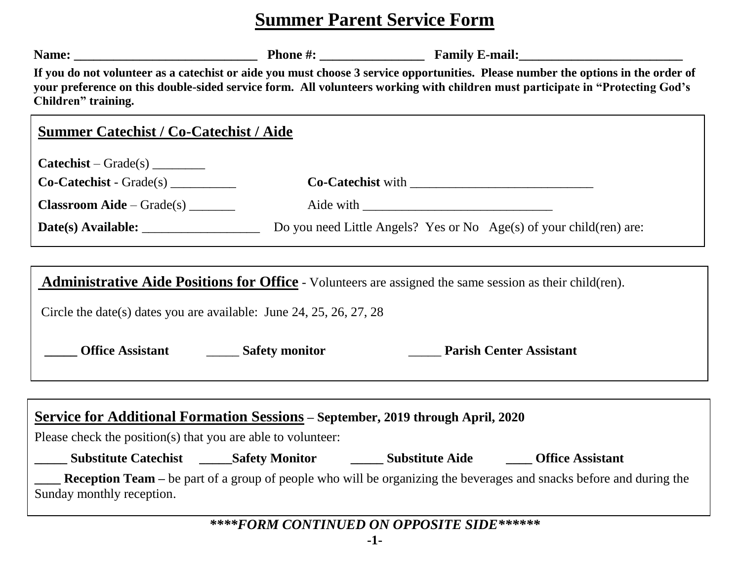# **Summer Parent Service Form**

| Children" training.                                                                                                                                    | If you do not volunteer as a catechist or aide you must choose 3 service opportunities. Please number the options in the order of<br>your preference on this double-sided service form. All volunteers working with children must participate in "Protecting God's |
|--------------------------------------------------------------------------------------------------------------------------------------------------------|--------------------------------------------------------------------------------------------------------------------------------------------------------------------------------------------------------------------------------------------------------------------|
| <b>Summer Catechist / Co-Catechist / Aide</b>                                                                                                          |                                                                                                                                                                                                                                                                    |
| $\textbf{Catechist} - \textbf{Grade}(s)$                                                                                                               |                                                                                                                                                                                                                                                                    |
| Co-Catechist - Grade(s)                                                                                                                                |                                                                                                                                                                                                                                                                    |
| $Classroom Aide - Grade(s)$                                                                                                                            |                                                                                                                                                                                                                                                                    |
|                                                                                                                                                        | Do you need Little Angels? Yes or No Age(s) of your child(ren) are:                                                                                                                                                                                                |
|                                                                                                                                                        |                                                                                                                                                                                                                                                                    |
|                                                                                                                                                        | <b>Administrative Aide Positions for Office</b> - Volunteers are assigned the same session as their child(ren).                                                                                                                                                    |
| Circle the date(s) dates you are available: June 24, 25, 26, 27, 28                                                                                    |                                                                                                                                                                                                                                                                    |
| Office Assistant _________ Safety monitor                                                                                                              | <b>Parish Center Assistant</b>                                                                                                                                                                                                                                     |
| <b>Service for Additional Formation Sessions - September, 2019 through April, 2020</b><br>Please check the position(s) that you are able to volunteer: |                                                                                                                                                                                                                                                                    |
|                                                                                                                                                        |                                                                                                                                                                                                                                                                    |
| Sunday monthly reception.                                                                                                                              | <b>Reception Team</b> – be part of a group of people who will be organizing the beverages and snacks before and during the                                                                                                                                         |
|                                                                                                                                                        |                                                                                                                                                                                                                                                                    |

*\*\*\*\*FORM CONTINUED ON OPPOSITE SIDE\*\*\*\*\*\**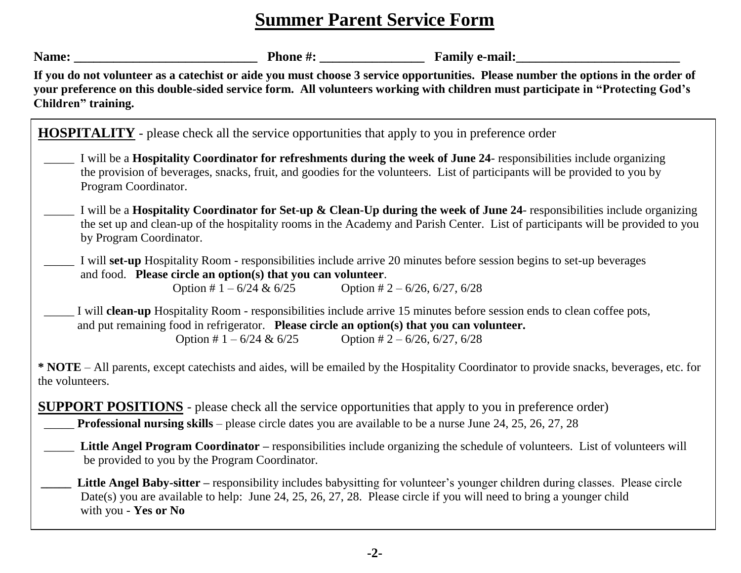# **Summer Parent Service Form**

| Name: $\_\_$                                                                                | <b>Example 2.1 Phone 2.1 All Phone 2.1 All Phone 2.1 All Phone 2.1 All Phone 2.1 All Phone 2.1 All Phone 2.1 All Phone 2.1 All Phone 2.1 All Phone 2.1 All Phone 2.1 All Phone 2.1 All Phone 2.1 All Phone 2.1 All Phone 2.1 All</b>                               |  |
|---------------------------------------------------------------------------------------------|--------------------------------------------------------------------------------------------------------------------------------------------------------------------------------------------------------------------------------------------------------------------|--|
| Children" training.                                                                         | If you do not volunteer as a catechist or aide you must choose 3 service opportunities. Please number the options in the order of<br>your preference on this double-sided service form. All volunteers working with children must participate in "Protecting God's |  |
|                                                                                             | <b>HOSPITALITY</b> - please check all the service opportunities that apply to you in preference order                                                                                                                                                              |  |
| Program Coordinator.                                                                        | I will be a Hospitality Coordinator for refreshments during the week of June 24- responsibilities include organizing<br>the provision of beverages, snacks, fruit, and goodies for the volunteers. List of participants will be provided to you by                 |  |
| by Program Coordinator.                                                                     | I will be a Hospitality Coordinator for Set-up & Clean-Up during the week of June 24- responsibilities include organizing<br>the set up and clean-up of the hospitality rooms in the Academy and Parish Center. List of participants will be provided to you       |  |
| and food. Please circle an option(s) that you can volunteer.<br>Option # $1 - 6/24 \& 6/25$ | I will set-up Hospitality Room - responsibilities include arrive 20 minutes before session begins to set-up beverages<br>Option # $2 - 6/26$ , 6/27, 6/28                                                                                                          |  |
| Option # $1 - 6/24 \& 6/25$                                                                 | I will <b>clean-up</b> Hospitality Room - responsibilities include arrive 15 minutes before session ends to clean coffee pots,<br>and put remaining food in refrigerator. Please circle an option(s) that you can volunteer.<br>Option # $2 - 6/26$ , 6/27, 6/28   |  |
| the volunteers.                                                                             | * NOTE - All parents, except catechists and aides, will be emailed by the Hospitality Coordinator to provide snacks, beverages, etc. for                                                                                                                           |  |
|                                                                                             | <b>SUPPORT POSITIONS</b> - please check all the service opportunities that apply to you in preference order)<br><b>Professional nursing skills</b> – please circle dates you are available to be a nurse June 24, 25, 26, 27, 28                                   |  |
| be provided to you by the Program Coordinator.                                              | Little Angel Program Coordinator – responsibilities include organizing the schedule of volunteers. List of volunteers will                                                                                                                                         |  |
| with you - Yes or No                                                                        | Little Angel Baby-sitter – responsibility includes babysitting for volunteer's younger children during classes. Please circle<br>Date(s) you are available to help: June 24, 25, 26, 27, 28. Please circle if you will need to bring a younger child               |  |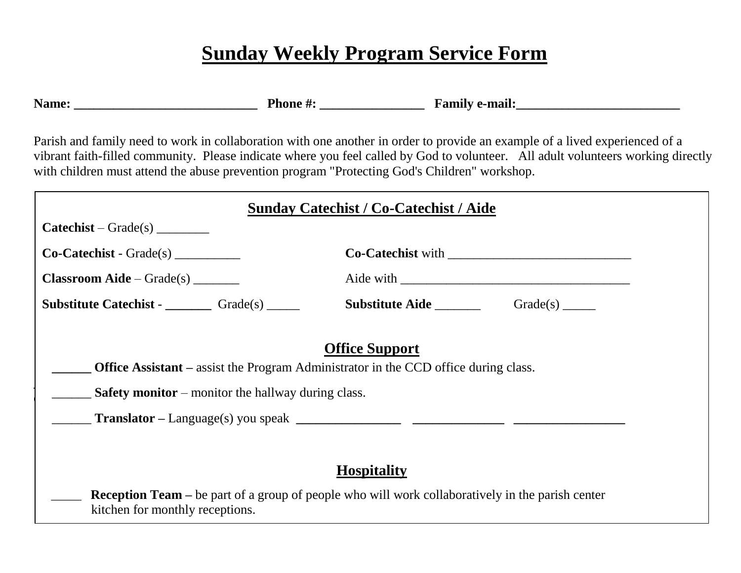# **Sunday Weekly Program Service Form**

**Name: \_\_\_\_\_\_\_\_\_\_\_\_\_\_\_\_\_\_\_\_\_\_\_\_\_\_\_\_ Phone #: \_\_\_\_\_\_\_\_\_\_\_\_\_\_\_\_ Family e-mail:\_\_\_\_\_\_\_\_\_\_\_\_\_\_\_\_\_\_\_\_\_\_\_\_\_**

|                                                                  | <b>Sunday Catechist / Co-Catechist / Aide</b>                                                                       |
|------------------------------------------------------------------|---------------------------------------------------------------------------------------------------------------------|
| $\textbf{Catechist} - \textbf{Grade}(s)$                         |                                                                                                                     |
| $Co\text{-}\text{Catechist - Grade(s)}$                          | $Co-Catechist with$                                                                                                 |
| $\textbf{Classroom} \textbf{A} \textbf{ide} - \textbf{Grade}(s)$ |                                                                                                                     |
| <b>Substitute Catechist - Catellange Cates</b>                   | <b>Substitute Aide</b> Grade(s) _______                                                                             |
| <b>Safety monitor</b> – monitor the hallway during class.        | <b>Office Support</b><br><b>Office Assistant</b> – assist the Program Administrator in the CCD office during class. |
|                                                                  |                                                                                                                     |
|                                                                  |                                                                                                                     |
|                                                                  | <b>Hospitality</b>                                                                                                  |
|                                                                  | <b>Reception Team</b> – be part of a group of people who will work collaboratively in the parish center             |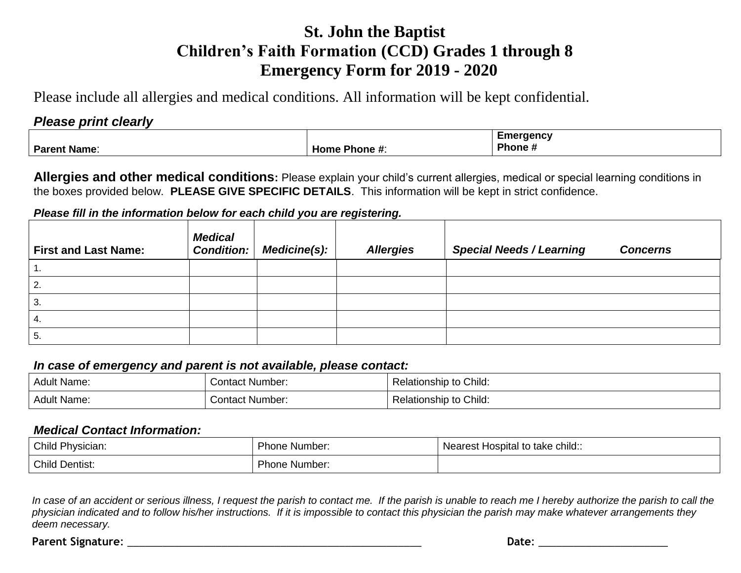# **St. John the Baptist Children's Faith Formation (CCD) Grades 1 through 8 Emergency Form for 2019 - 2020**

Please include all allergies and medical conditions. All information will be kept confidential.

### *Please print clearly*

|                     |                                                          | Emergency          |
|---------------------|----------------------------------------------------------|--------------------|
| <b>Parent Name:</b> | Home<br>$\blacksquare$ Phone $\boldsymbol{\mathsf{h}}$ . | Phone <del>n</del> |

**Allergies and other medical conditions:** Please explain your child's current allergies, medical or special learning conditions in the boxes provided below. **PLEASE GIVE SPECIFIC DETAILS**. This information will be kept in strict confidence.

#### *Please fill in the information below for each child you are registering.*

| <b>First and Last Name:</b> | <b>Medical</b><br>Condition: | <b>Medicine(s):</b> | <b>Allergies</b> | <b>Special Needs / Learning</b> | <b>Concerns</b> |
|-----------------------------|------------------------------|---------------------|------------------|---------------------------------|-----------------|
|                             |                              |                     |                  |                                 |                 |
| 2.                          |                              |                     |                  |                                 |                 |
| 3.                          |                              |                     |                  |                                 |                 |
|                             |                              |                     |                  |                                 |                 |
| O.                          |                              |                     |                  |                                 |                 |

#### *In case of emergency and parent is not available, please contact:*

| Adult Name: | Contact Number: | <b>Relationship to Child:</b> |
|-------------|-----------------|-------------------------------|
| Adult Name: | Contact Number: | <b>Relationship to Child:</b> |

#### *Medical Contact Information:*

| Child Physician:      | Phone Number: | Nearest Hospital to take child:: |
|-----------------------|---------------|----------------------------------|
| <b>Child Dentist:</b> | Phone Number: |                                  |

In case of an accident or serious illness, I request the parish to contact me. If the parish is unable to reach me I hereby authorize the parish to call the *physician indicated and to follow his/her instructions. If it is impossible to contact this physician the parish may make whatever arrangements they deem necessary.*

**Parent Signature**: \_\_\_\_\_\_\_\_\_\_\_\_\_\_\_\_\_\_\_\_\_\_\_\_\_\_\_\_\_\_\_\_\_\_\_\_\_\_\_\_\_\_\_\_\_\_\_\_\_\_ **Date**: \_\_\_\_\_\_\_\_\_\_\_\_\_\_\_\_\_\_\_\_\_\_